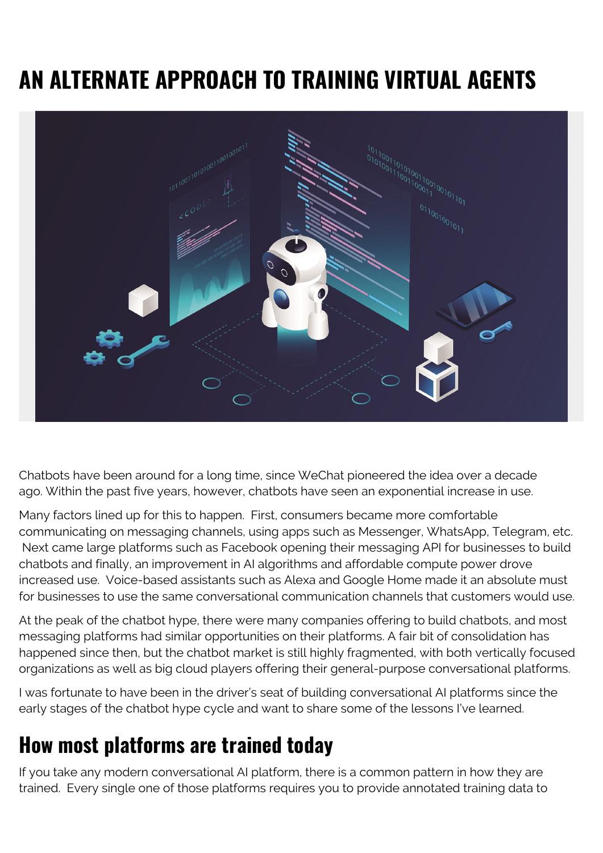# **AN ALTERNATE APPROACH TO TRAINING VIRTUAL AGENTS**



Chatbots have been around for a long time, since WeChat pioneered the idea over a decade ago. Within the past five years, however, chatbots have seen an exponential increase in use.

Many factors lined up for this to happen. First, consumers became more comfortable communicating on messaging channels, using apps such as Messenger, WhatsApp, Telegram, etc. Next came large platforms such as Facebook opening their messaging API for businesses to build chatbots and finally, an improvement in AI algorithms and affordable compute power drove increased use. Voice-based assistants such as Alexa and Google Home made it an absolute must for businesses to use the same conversational communication channels that customers would use.

At the peak of the chatbot hype, there were many companies offering to build chatbots, and most messaging platforms had similar opportunities on their platforms. A fair bit of consolidation has happened since then, but the chatbot market is still highly fragmented, with both vertically focused organizations as well as big cloud players offering their general-purpose conversational platforms.

I was fortunate to have been in the driver's seat of building conversational AI platforms since the early stages of the chatbot hype cycle and want to share some of the lessons I've learned.

#### **How most platforms are trained today**

If you take any modern conversational AI platform, there is a common pattern in how they are trained. Every single one of those platforms requires you to provide annotated training data to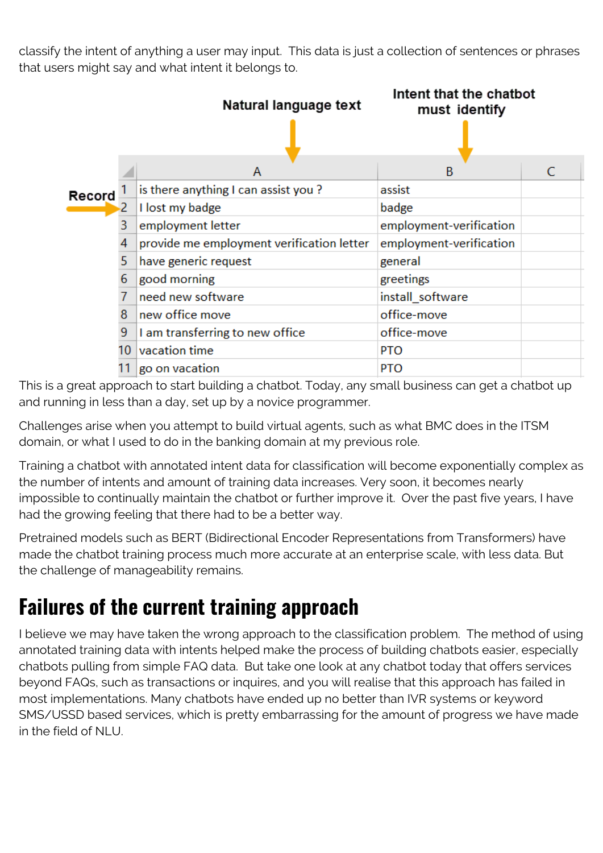classify the intent of anything a user may input. This data is just a collection of sentences or phrases that users might say and what intent it belongs to.



This is a great approach to start building a chatbot. Today, any small business can get a chatbot up and running in less than a day, set up by a novice programmer.

Challenges arise when you attempt to build virtual agents, such as what BMC does in the ITSM domain, or what I used to do in the banking domain at my previous role.

Training a chatbot with annotated intent data for classification will become exponentially complex as the number of intents and amount of training data increases. Very soon, it becomes nearly impossible to continually maintain the chatbot or further improve it. Over the past five years, I have had the growing feeling that there had to be a better way.

Pretrained models such as BERT (Bidirectional Encoder Representations from Transformers) have made the chatbot training process much more accurate at an enterprise scale, with less data. But the challenge of manageability remains.

### **Failures of the current training approach**

I believe we may have taken the wrong approach to the classification problem. The method of using annotated training data with intents helped make the process of building chatbots easier, especially chatbots pulling from simple FAQ data. But take one look at any chatbot today that offers services beyond FAQs, such as transactions or inquires, and you will realise that this approach has failed in most implementations. Many chatbots have ended up no better than IVR systems or keyword SMS/USSD based services, which is pretty embarrassing for the amount of progress we have made in the field of NLU.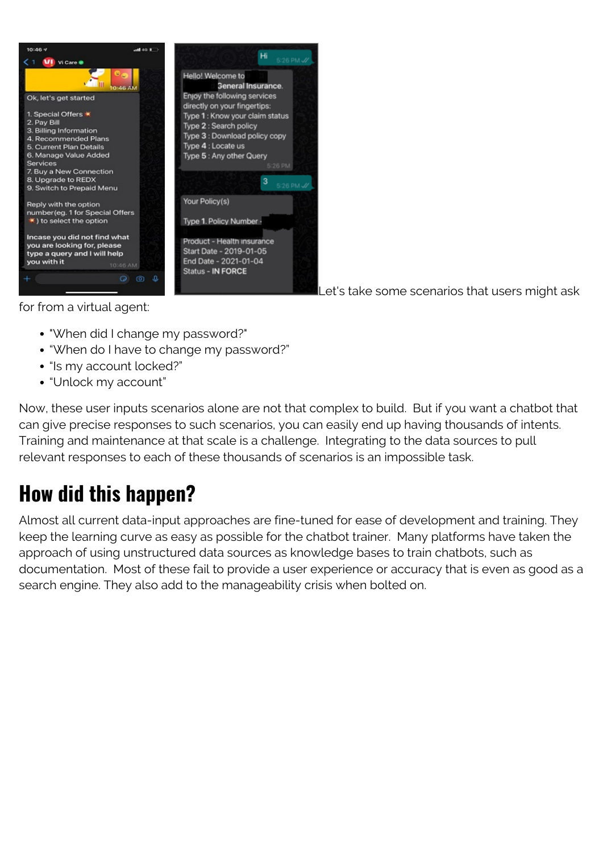

Let's take some scenarios that users might ask

for from a virtual agent:

- "When did I change my password?"
- "When do I have to change my password?"
- "Is my account locked?"
- "Unlock my account"

Now, these user inputs scenarios alone are not that complex to build. But if you want a chatbot that can give precise responses to such scenarios, you can easily end up having thousands of intents. Training and maintenance at that scale is a challenge. Integrating to the data sources to pull relevant responses to each of these thousands of scenarios is an impossible task.

### **How did this happen?**

Almost all current data-input approaches are fine-tuned for ease of development and training. They keep the learning curve as easy as possible for the chatbot trainer. Many platforms have taken the approach of using unstructured data sources as knowledge bases to train chatbots, such as documentation. Most of these fail to provide a user experience or accuracy that is even as good as a search engine. They also add to the manageability crisis when bolted on.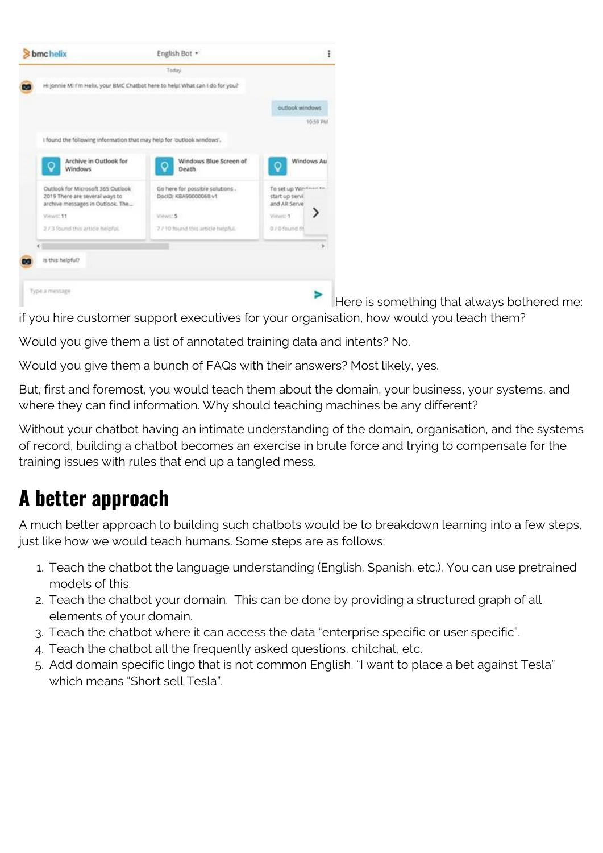

Here is something that always bothered me: if you hire customer support executives for your organisation, how would you teach them?

Would you give them a list of annotated training data and intents? No.

Would you give them a bunch of FAQs with their answers? Most likely, yes.

But, first and foremost, you would teach them about the domain, your business, your systems, and where they can find information. Why should teaching machines be any different?

Without your chatbot having an intimate understanding of the domain, organisation, and the systems of record, building a chatbot becomes an exercise in brute force and trying to compensate for the training issues with rules that end up a tangled mess.

## **A better approach**

A much better approach to building such chatbots would be to breakdown learning into a few steps, just like how we would teach humans. Some steps are as follows:

- 1. Teach the chatbot the language understanding (English, Spanish, etc.). You can use pretrained models of this.
- 2. Teach the chatbot your domain. This can be done by providing a structured graph of all elements of your domain.
- 3. Teach the chatbot where it can access the data "enterprise specific or user specific".
- 4. Teach the chatbot all the frequently asked questions, chitchat, etc.
- 5. Add domain specific lingo that is not common English. "I want to place a bet against Tesla" which means "Short sell Tesla".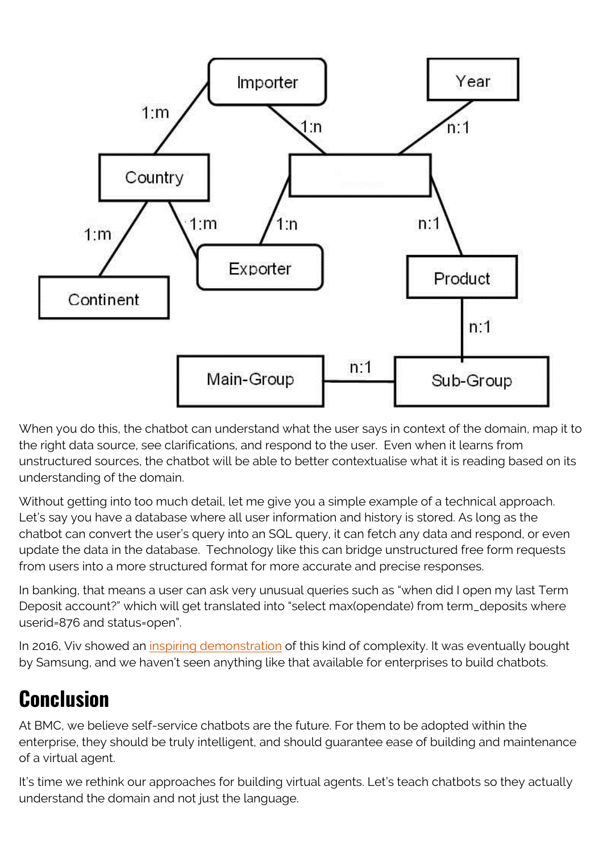

When you do this, the chatbot can understand what the user says in context of the domain, map it to the right data source, see clarifications, and respond to the user. Even when it learns from unstructured sources, the chatbot will be able to better contextualise what it is reading based on its understanding of the domain.

Without getting into too much detail, let me give you a simple example of a technical approach. Let's say you have a database where all user information and history is stored. As long as the chatbot can convert the user's query into an SQL query, it can fetch any data and respond, or even update the data in the database. Technology like this can bridge unstructured free form requests from users into a more structured format for more accurate and precise responses.

In banking, that means a user can ask very unusual queries such as "when did I open my last Term Deposit account?" which will get translated into "select max(opendate) from term\_deposits where userid=876 and status=open".

In 2016, Viv showed an *[inspiring demonstration](https://www.youtube.com/watch?v=MI07aeZqeco)* of this kind of complexity. It was eventually bought by Samsung, and we haven't seen anything like that available for enterprises to build chatbots.

### **Conclusion**

At BMC, we believe self-service chatbots are the future. For them to be adopted within the enterprise, they should be truly intelligent, and should guarantee ease of building and maintenance of a virtual agent.

It's time we rethink our approaches for building virtual agents. Let's teach chatbots so they actually understand the domain and not just the language.